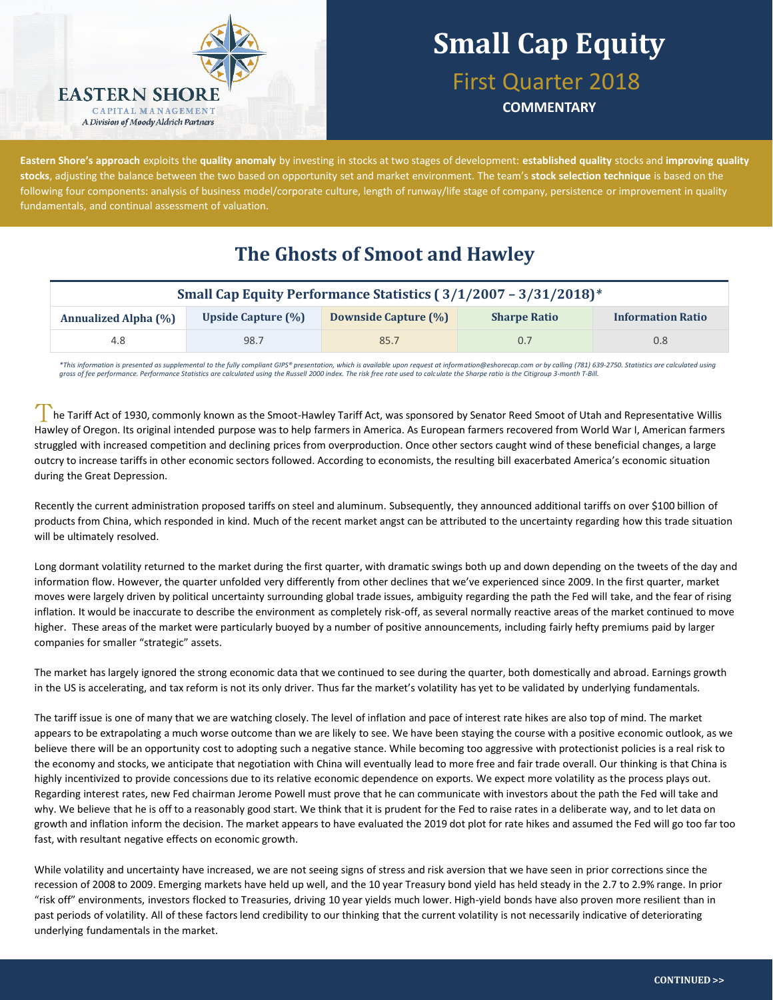

First Quarter 2018

**COMMENTARY**

**Eastern Shore's approach** exploits the **quality anomaly** by investing in stocks at two stages of development: **established quality** stocks and **improving quality stocks**, adjusting the balance between the two based on opportunity set and market environment. The team's **stock selection technique** is based on the following four components: analysis of business model/corporate culture, length of runway/life stage of company, persistence or improvement in quality fundamentals, and continual assessment of valuation.

### **The Ghosts of Smoot and Hawley**

|                             |                           | Small Cap Equity Performance Statistics (3/1/2007 - 3/31/2018)* |                     |                          |  |
|-----------------------------|---------------------------|-----------------------------------------------------------------|---------------------|--------------------------|--|
| <b>Annualized Alpha (%)</b> | <b>Upside Capture (%)</b> | <b>Downside Capture (%)</b>                                     | <b>Sharpe Ratio</b> | <b>Information Ratio</b> |  |
| 4.8                         | 98.7                      | 85.7                                                            | 0.7                 | 0.8 <sub>2</sub>         |  |

*\*This information is presented as supplemental to the fully compliant GIPS® presentation, which is available upon request at information@eshorecap.com or by calling (781) 639-2750. Statistics are calculated using gross of fee performance. Performance Statistics are calculated using the Russell 2000 index. The risk free rate used to calculate the Sharpe ratio is the Citigroup 3-month T-Bill.*

he Tariff Act of 1930, commonly known as the Smoot-Hawley Tariff Act, was sponsored by Senator Reed Smoot of Utah and Representative Willis Hawley of Oregon. Its original intended purpose was to help farmers in America. As European farmers recovered from World War I, American farmers struggled with increased competition and declining prices from overproduction. Once other sectors caught wind of these beneficial changes, a large outcry to increase tariffs in other economic sectors followed. According to economists, the resulting bill exacerbated America's economic situation during the Great Depression.

Recently the current administration proposed tariffs on steel and aluminum. Subsequently, they announced additional tariffs on over \$100 billion of products from China, which responded in kind. Much of the recent market angst can be attributed to the uncertainty regarding how this trade situation will be ultimately resolved.

Long dormant volatility returned to the market during the first quarter, with dramatic swings both up and down depending on the tweets of the day and information flow. However, the quarter unfolded very differently from other declines that we've experienced since 2009. In the first quarter, market moves were largely driven by political uncertainty surrounding global trade issues, ambiguity regarding the path the Fed will take, and the fear of rising inflation. It would be inaccurate to describe the environment as completely risk-off, as several normally reactive areas of the market continued to move higher. These areas of the market were particularly buoyed by a number of positive announcements, including fairly hefty premiums paid by larger companies for smaller "strategic" assets.

The market has largely ignored the strong economic data that we continued to see during the quarter, both domestically and abroad. Earnings growth in the US is accelerating, and tax reform is not its only driver. Thus far the market's volatility has yet to be validated by underlying fundamentals.

The tariff issue is one of many that we are watching closely. The level of inflation and pace of interest rate hikes are also top of mind. The market appears to be extrapolating a much worse outcome than we are likely to see. We have been staying the course with a positive economic outlook, as we believe there will be an opportunity cost to adopting such a negative stance. While becoming too aggressive with protectionist policies is a real risk to the economy and stocks, we anticipate that negotiation with China will eventually lead to more free and fair trade overall. Our thinking is that China is highly incentivized to provide concessions due to its relative economic dependence on exports. We expect more volatility as the process plays out. Regarding interest rates, new Fed chairman Jerome Powell must prove that he can communicate with investors about the path the Fed will take and why. We believe that he is off to a reasonably good start. We think that it is prudent for the Fed to raise rates in a deliberate way, and to let data on growth and inflation inform the decision. The market appears to have evaluated the 2019 dot plot for rate hikes and assumed the Fed will go too far too fast, with resultant negative effects on economic growth.

While volatility and uncertainty have increased, we are not seeing signs of stress and risk aversion that we have seen in prior corrections since the recession of 2008 to 2009. Emerging markets have held up well, and the 10 year Treasury bond yield has held steady in the 2.7 to 2.9% range. In prior "risk off" environments, investors flocked to Treasuries, driving 10 year yields much lower. High-yield bonds have also proven more resilient than in past periods of volatility. All of these factors lend credibility to our thinking that the current volatility is not necessarily indicative of deteriorating underlying fundamentals in the market.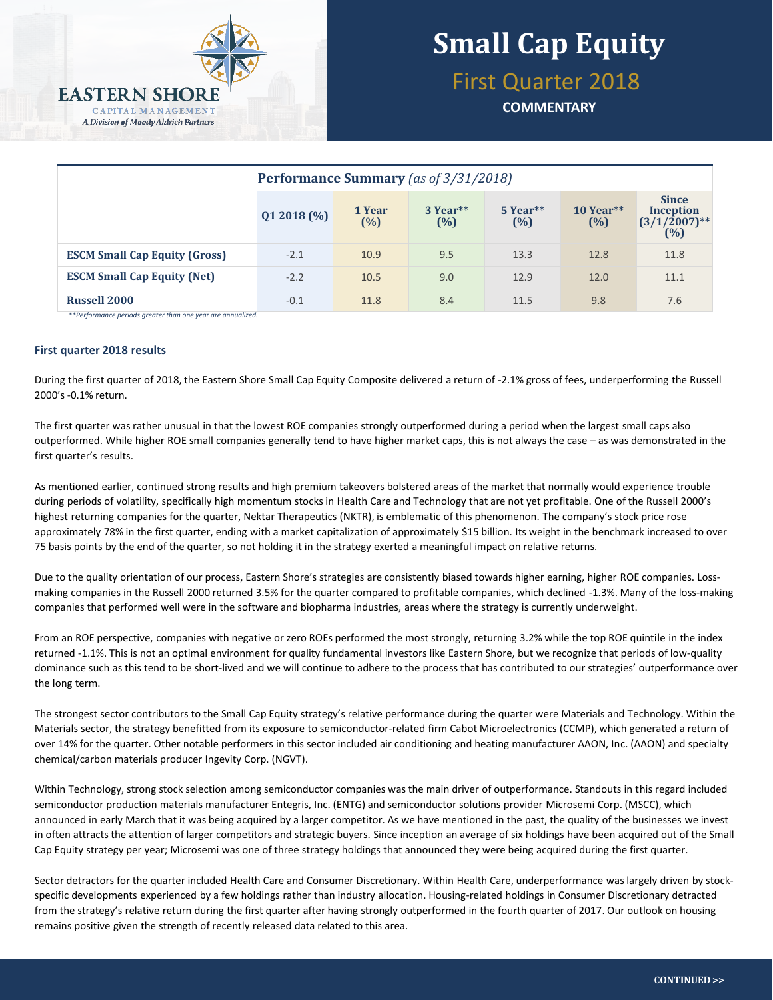

## First Quarter 2018

**COMMENTARY**

| Performance Summary (as of 3/31/2018) |             |               |                 |                   |                  |                                                            |  |
|---------------------------------------|-------------|---------------|-----------------|-------------------|------------------|------------------------------------------------------------|--|
|                                       | Q1 2018 (%) | 1 Year<br>(%) | 3 Year**<br>(%) | $5$ Year**<br>(%) | 10 Year**<br>(%) | <b>Since</b><br><b>Inception</b><br>$(3/1/2007)$ **<br>(%) |  |
| <b>ESCM Small Cap Equity (Gross)</b>  | $-2.1$      | 10.9          | 9.5             | 13.3              | 12.8             | 11.8                                                       |  |
| <b>ESCM Small Cap Equity (Net)</b>    | $-2.2$      | 10.5          | 9.0             | 12.9              | 12.0             | 11.1                                                       |  |
| <b>Russell 2000</b>                   | $-0.1$      | 11.8          | 8.4             | 11.5              | 9.8              | 7.6                                                        |  |

*\*\*Performance periods greater than one year are annualized.*

#### **First quarter 2018 results**

During the first quarter of 2018, the Eastern Shore Small Cap Equity Composite delivered a return of -2.1% gross of fees, underperforming the Russell 2000's -0.1% return.

The first quarter was rather unusual in that the lowest ROE companies strongly outperformed during a period when the largest small caps also outperformed. While higher ROE small companies generally tend to have higher market caps, this is not always the case – as was demonstrated in the first quarter's results.

As mentioned earlier, continued strong results and high premium takeovers bolstered areas of the market that normally would experience trouble during periods of volatility, specifically high momentum stocks in Health Care and Technology that are not yet profitable. One of the Russell 2000's highest returning companies for the quarter, Nektar Therapeutics (NKTR), is emblematic of this phenomenon. The company's stock price rose approximately 78% in the first quarter, ending with a market capitalization of approximately \$15 billion. Its weight in the benchmark increased to over 75 basis points by the end of the quarter, so not holding it in the strategy exerted a meaningful impact on relative returns.

Due to the quality orientation of our process, Eastern Shore's strategies are consistently biased towards higher earning, higher ROE companies. Lossmaking companies in the Russell 2000 returned 3.5% for the quarter compared to profitable companies, which declined -1.3%. Many of the loss-making companies that performed well were in the software and biopharma industries, areas where the strategy is currently underweight.

From an ROE perspective, companies with negative or zero ROEs performed the most strongly, returning 3.2% while the top ROE quintile in the index returned -1.1%. This is not an optimal environment for quality fundamental investors like Eastern Shore, but we recognize that periods of low-quality dominance such as this tend to be short-lived and we will continue to adhere to the process that has contributed to our strategies' outperformance over the long term.

The strongest sector contributors to the Small Cap Equity strategy's relative performance during the quarter were Materials and Technology. Within the Materials sector, the strategy benefitted from its exposure to semiconductor-related firm Cabot Microelectronics (CCMP), which generated a return of over 14% for the quarter. Other notable performers in this sector included air conditioning and heating manufacturer AAON, Inc. (AAON) and specialty chemical/carbon materials producer Ingevity Corp. (NGVT).

Within Technology, strong stock selection among semiconductor companies was the main driver of outperformance. Standouts in this regard included semiconductor production materials manufacturer Entegris, Inc. (ENTG) and semiconductor solutions provider Microsemi Corp. (MSCC), which announced in early March that it was being acquired by a larger competitor. As we have mentioned in the past, the quality of the businesses we invest in often attracts the attention of larger competitors and strategic buyers. Since inception an average of six holdings have been acquired out of the Small Cap Equity strategy per year; Microsemi was one of three strategy holdings that announced they were being acquired during the first quarter.

Sector detractors for the quarter included Health Care and Consumer Discretionary. Within Health Care, underperformance was largely driven by stockspecific developments experienced by a few holdings rather than industry allocation. Housing-related holdings in Consumer Discretionary detracted from the strategy's relative return during the first quarter after having strongly outperformed in the fourth quarter of 2017. Our outlook on housing remains positive given the strength of recently released data related to this area.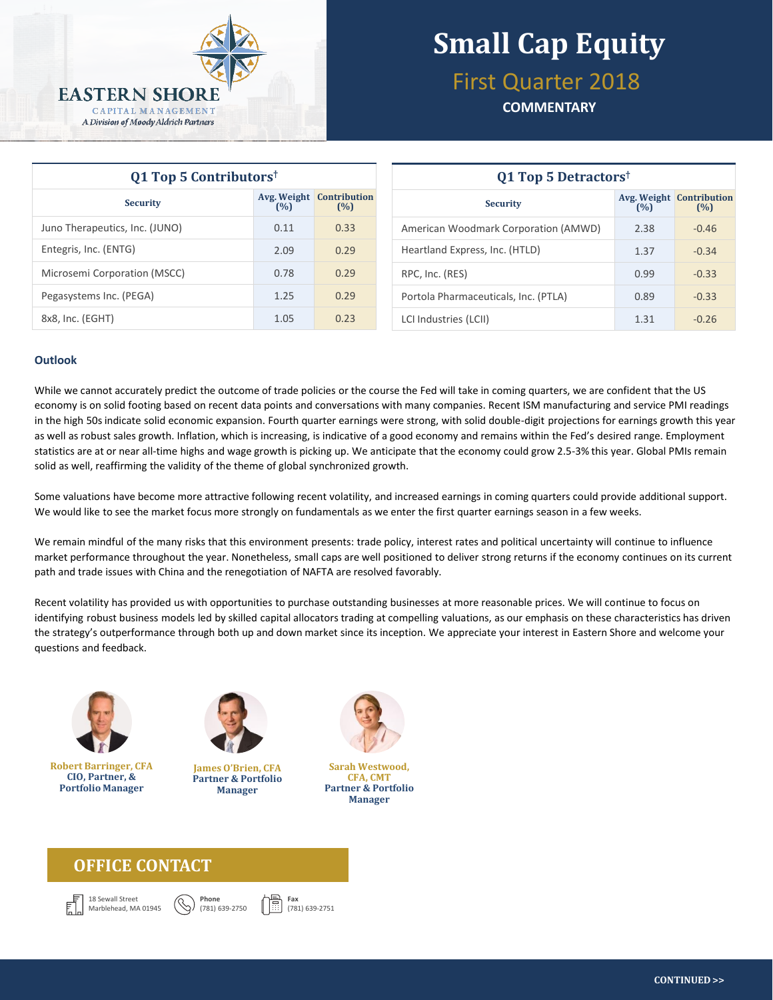

## First Quarter 2018

**COMMENTARY**

| Q1 Top 5 Contributors <sup>†</sup> |      |                                        | Q1 Top 5 Detractors <sup>†</sup>                                 |  |  |  |
|------------------------------------|------|----------------------------------------|------------------------------------------------------------------|--|--|--|
| <b>Security</b>                    | (%)  | <b>Avg. Weight Contribution</b><br>(%) | <b>Avg. Weight Contribution</b><br><b>Security</b><br>(%)<br>(%) |  |  |  |
| Juno Therapeutics, Inc. (JUNO)     | 0.11 | 0.33                                   | American Woodmark Corporation (AMWD)<br>2.38<br>$-0.46$          |  |  |  |
| Entegris, Inc. (ENTG)              | 2.09 | 0.29                                   | Heartland Express, Inc. (HTLD)<br>$-0.34$<br>1.37                |  |  |  |
| Microsemi Corporation (MSCC)       | 0.78 | 0.29                                   | 0.99<br>$-0.33$<br>RPC, Inc. (RES)                               |  |  |  |
| Pegasystems Inc. (PEGA)            | 1.25 | 0.29                                   | Portola Pharmaceuticals, Inc. (PTLA)<br>$-0.33$<br>0.89          |  |  |  |
| 8x8, Inc. (EGHT)                   | 1.05 | 0.23                                   | LCI Industries (LCII)<br>$-0.26$<br>1.31                         |  |  |  |

#### **Outlook**

While we cannot accurately predict the outcome of trade policies or the course the Fed will take in coming quarters, we are confident that the US economy is on solid footing based on recent data points and conversations with many companies. Recent ISM manufacturing and service PMI readings in the high 50s indicate solid economic expansion. Fourth quarter earnings were strong, with solid double-digit projections for earnings growth this year as well as robust sales growth. Inflation, which is increasing, is indicative of a good economy and remains within the Fed's desired range. Employment statistics are at or near all-time highs and wage growth is picking up. We anticipate that the economy could grow 2.5-3% this year. Global PMIs remain solid as well, reaffirming the validity of the theme of global synchronized growth.

Some valuations have become more attractive following recent volatility, and increased earnings in coming quarters could provide additional support. We would like to see the market focus more strongly on fundamentals as we enter the first quarter earnings season in a few weeks.

We remain mindful of the many risks that this environment presents: trade policy, interest rates and political uncertainty will continue to influence market performance throughout the year. Nonetheless, small caps are well positioned to deliver strong returns if the economy continues on its current path and trade issues with China and the renegotiation of NAFTA are resolved favorably.

Recent volatility has provided us with opportunities to purchase outstanding businesses at more reasonable prices. We will continue to focus on identifying robust business models led by skilled capital allocators trading at compelling valuations, as our emphasis on these characteristics has driven the strategy's outperformance through both up and down market since its inception. We appreciate your interest in Eastern Shore and welcome your questions and feedback.



**Robert Barringer, CFA CIO, Partner, & Portfolio Manager**



**James O'Brien, CFA Partner & Portfolio Manager**

**Phone** (781) 639-2750



**Sarah Westwood, CFA, CMT Partner & Portfolio Manager**

#### **OFFICE CONTACT**





**Fax** (781) 639-2751

**CONTINUED >>**